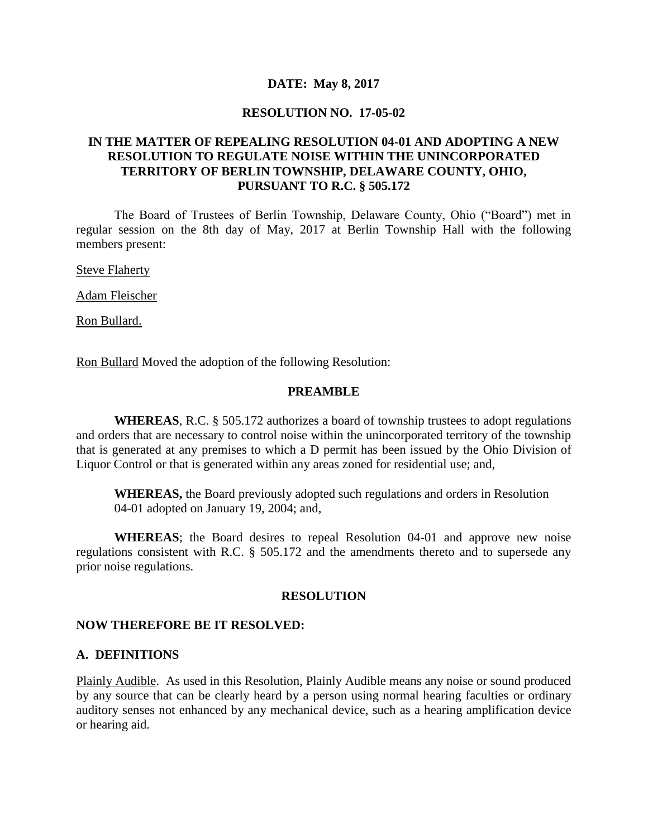#### **DATE: May 8, 2017**

#### **RESOLUTION NO. 17-05-02**

### **IN THE MATTER OF REPEALING RESOLUTION 04-01 AND ADOPTING A NEW RESOLUTION TO REGULATE NOISE WITHIN THE UNINCORPORATED TERRITORY OF BERLIN TOWNSHIP, DELAWARE COUNTY, OHIO, PURSUANT TO R.C. § 505.172**

The Board of Trustees of Berlin Township, Delaware County, Ohio ("Board") met in regular session on the 8th day of May, 2017 at Berlin Township Hall with the following members present:

**Steve Flaherty** 

Adam Fleischer

Ron Bullard.

Ron Bullard Moved the adoption of the following Resolution:

#### **PREAMBLE**

**WHEREAS**, R.C. § 505.172 authorizes a board of township trustees to adopt regulations and orders that are necessary to control noise within the unincorporated territory of the township that is generated at any premises to which a D permit has been issued by the Ohio Division of Liquor Control or that is generated within any areas zoned for residential use; and,

**WHEREAS,** the Board previously adopted such regulations and orders in Resolution 04-01 adopted on January 19, 2004; and,

**WHEREAS**; the Board desires to repeal Resolution 04-01 and approve new noise regulations consistent with R.C. § 505.172 and the amendments thereto and to supersede any prior noise regulations.

#### **RESOLUTION**

#### **NOW THEREFORE BE IT RESOLVED:**

#### **A. DEFINITIONS**

Plainly Audible. As used in this Resolution, Plainly Audible means any noise or sound produced by any source that can be clearly heard by a person using normal hearing faculties or ordinary auditory senses not enhanced by any mechanical device, such as a hearing amplification device or hearing aid.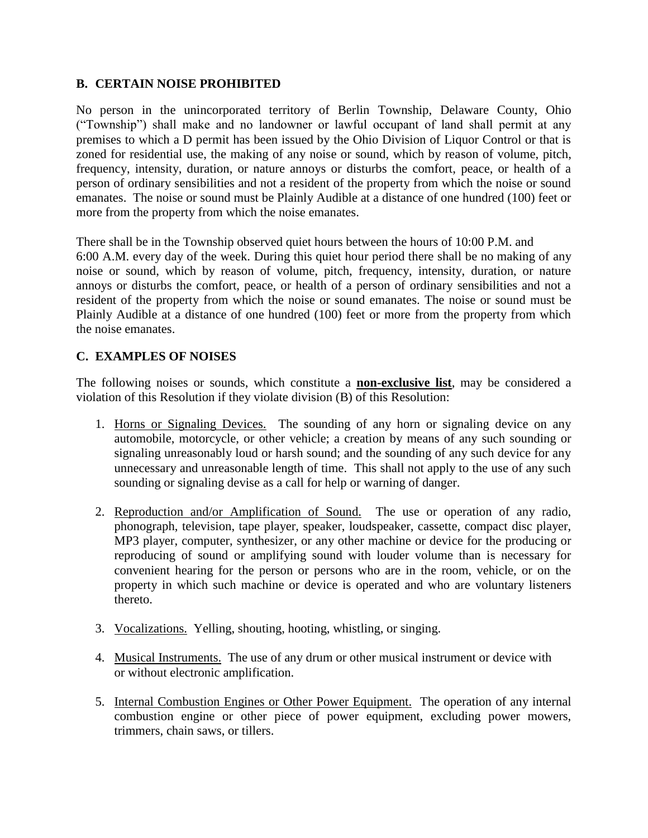### **B. CERTAIN NOISE PROHIBITED**

No person in the unincorporated territory of Berlin Township, Delaware County, Ohio ("Township") shall make and no landowner or lawful occupant of land shall permit at any premises to which a D permit has been issued by the Ohio Division of Liquor Control or that is zoned for residential use, the making of any noise or sound, which by reason of volume, pitch, frequency, intensity, duration, or nature annoys or disturbs the comfort, peace, or health of a person of ordinary sensibilities and not a resident of the property from which the noise or sound emanates. The noise or sound must be Plainly Audible at a distance of one hundred (100) feet or more from the property from which the noise emanates.

There shall be in the Township observed quiet hours between the hours of 10:00 P.M. and 6:00 A.M. every day of the week. During this quiet hour period there shall be no making of any noise or sound, which by reason of volume, pitch, frequency, intensity, duration, or nature annoys or disturbs the comfort, peace, or health of a person of ordinary sensibilities and not a resident of the property from which the noise or sound emanates. The noise or sound must be Plainly Audible at a distance of one hundred (100) feet or more from the property from which the noise emanates.

### **C. EXAMPLES OF NOISES**

The following noises or sounds, which constitute a **non-exclusive list**, may be considered a violation of this Resolution if they violate division (B) of this Resolution:

- 1. Horns or Signaling Devices. The sounding of any horn or signaling device on any automobile, motorcycle, or other vehicle; a creation by means of any such sounding or signaling unreasonably loud or harsh sound; and the sounding of any such device for any unnecessary and unreasonable length of time. This shall not apply to the use of any such sounding or signaling devise as a call for help or warning of danger.
- 2. Reproduction and/or Amplification of Sound. The use or operation of any radio, phonograph, television, tape player, speaker, loudspeaker, cassette, compact disc player, MP3 player, computer, synthesizer, or any other machine or device for the producing or reproducing of sound or amplifying sound with louder volume than is necessary for convenient hearing for the person or persons who are in the room, vehicle, or on the property in which such machine or device is operated and who are voluntary listeners thereto.
- 3. Vocalizations. Yelling, shouting, hooting, whistling, or singing.
- 4. Musical Instruments. The use of any drum or other musical instrument or device with or without electronic amplification.
- 5. Internal Combustion Engines or Other Power Equipment. The operation of any internal combustion engine or other piece of power equipment, excluding power mowers, trimmers, chain saws, or tillers.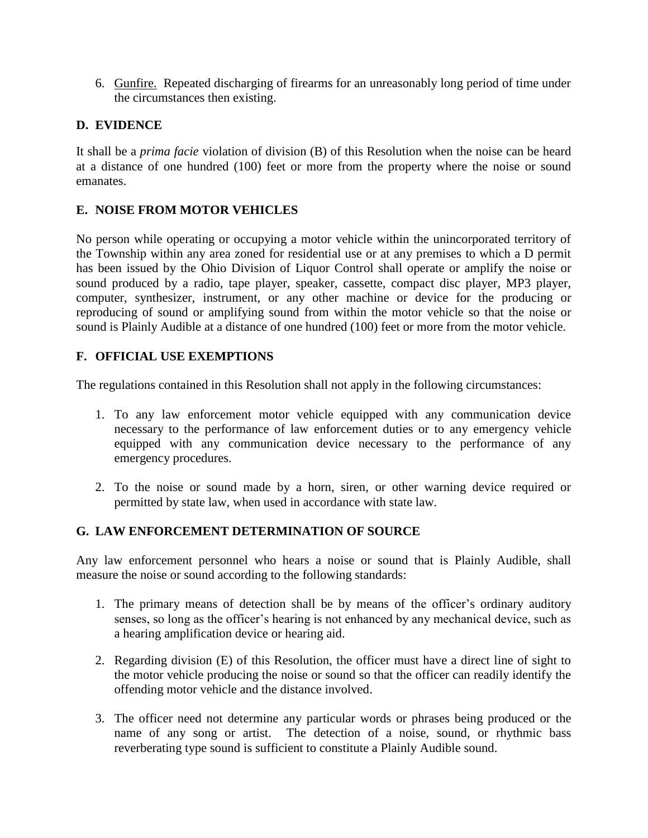6. Gunfire. Repeated discharging of firearms for an unreasonably long period of time under the circumstances then existing.

### **D. EVIDENCE**

It shall be a *prima facie* violation of division (B) of this Resolution when the noise can be heard at a distance of one hundred (100) feet or more from the property where the noise or sound emanates.

## **E. NOISE FROM MOTOR VEHICLES**

No person while operating or occupying a motor vehicle within the unincorporated territory of the Township within any area zoned for residential use or at any premises to which a D permit has been issued by the Ohio Division of Liquor Control shall operate or amplify the noise or sound produced by a radio, tape player, speaker, cassette, compact disc player, MP3 player, computer, synthesizer, instrument, or any other machine or device for the producing or reproducing of sound or amplifying sound from within the motor vehicle so that the noise or sound is Plainly Audible at a distance of one hundred (100) feet or more from the motor vehicle.

## **F. OFFICIAL USE EXEMPTIONS**

The regulations contained in this Resolution shall not apply in the following circumstances:

- 1. To any law enforcement motor vehicle equipped with any communication device necessary to the performance of law enforcement duties or to any emergency vehicle equipped with any communication device necessary to the performance of any emergency procedures.
- 2. To the noise or sound made by a horn, siren, or other warning device required or permitted by state law, when used in accordance with state law.

### **G. LAW ENFORCEMENT DETERMINATION OF SOURCE**

Any law enforcement personnel who hears a noise or sound that is Plainly Audible, shall measure the noise or sound according to the following standards:

- 1. The primary means of detection shall be by means of the officer's ordinary auditory senses, so long as the officer's hearing is not enhanced by any mechanical device, such as a hearing amplification device or hearing aid.
- 2. Regarding division (E) of this Resolution, the officer must have a direct line of sight to the motor vehicle producing the noise or sound so that the officer can readily identify the offending motor vehicle and the distance involved.
- 3. The officer need not determine any particular words or phrases being produced or the name of any song or artist. The detection of a noise, sound, or rhythmic bass reverberating type sound is sufficient to constitute a Plainly Audible sound.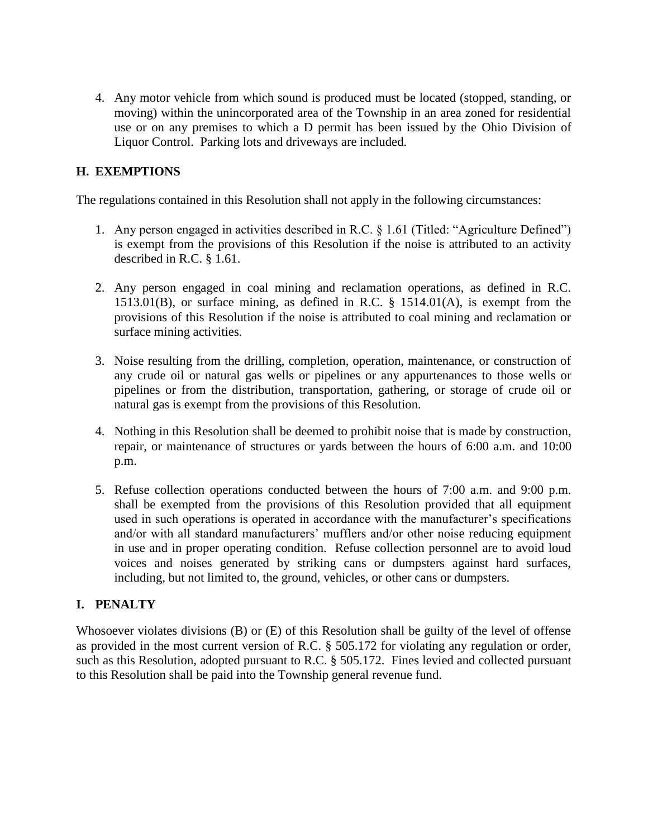4. Any motor vehicle from which sound is produced must be located (stopped, standing, or moving) within the unincorporated area of the Township in an area zoned for residential use or on any premises to which a D permit has been issued by the Ohio Division of Liquor Control. Parking lots and driveways are included.

## **H. EXEMPTIONS**

The regulations contained in this Resolution shall not apply in the following circumstances:

- 1. Any person engaged in activities described in R.C. § 1.61 (Titled: "Agriculture Defined") is exempt from the provisions of this Resolution if the noise is attributed to an activity described in R.C. § 1.61.
- 2. Any person engaged in coal mining and reclamation operations, as defined in R.C. 1513.01(B), or surface mining, as defined in R.C. § 1514.01(A), is exempt from the provisions of this Resolution if the noise is attributed to coal mining and reclamation or surface mining activities.
- 3. Noise resulting from the drilling, completion, operation, maintenance, or construction of any crude oil or natural gas wells or pipelines or any appurtenances to those wells or pipelines or from the distribution, transportation, gathering, or storage of crude oil or natural gas is exempt from the provisions of this Resolution.
- 4. Nothing in this Resolution shall be deemed to prohibit noise that is made by construction, repair, or maintenance of structures or yards between the hours of 6:00 a.m. and 10:00 p.m.
- 5. Refuse collection operations conducted between the hours of 7:00 a.m. and 9:00 p.m. shall be exempted from the provisions of this Resolution provided that all equipment used in such operations is operated in accordance with the manufacturer's specifications and/or with all standard manufacturers' mufflers and/or other noise reducing equipment in use and in proper operating condition. Refuse collection personnel are to avoid loud voices and noises generated by striking cans or dumpsters against hard surfaces, including, but not limited to, the ground, vehicles, or other cans or dumpsters.

### **I. PENALTY**

Whosoever violates divisions (B) or (E) of this Resolution shall be guilty of the level of offense as provided in the most current version of R.C. § 505.172 for violating any regulation or order, such as this Resolution, adopted pursuant to R.C. § 505.172. Fines levied and collected pursuant to this Resolution shall be paid into the Township general revenue fund.